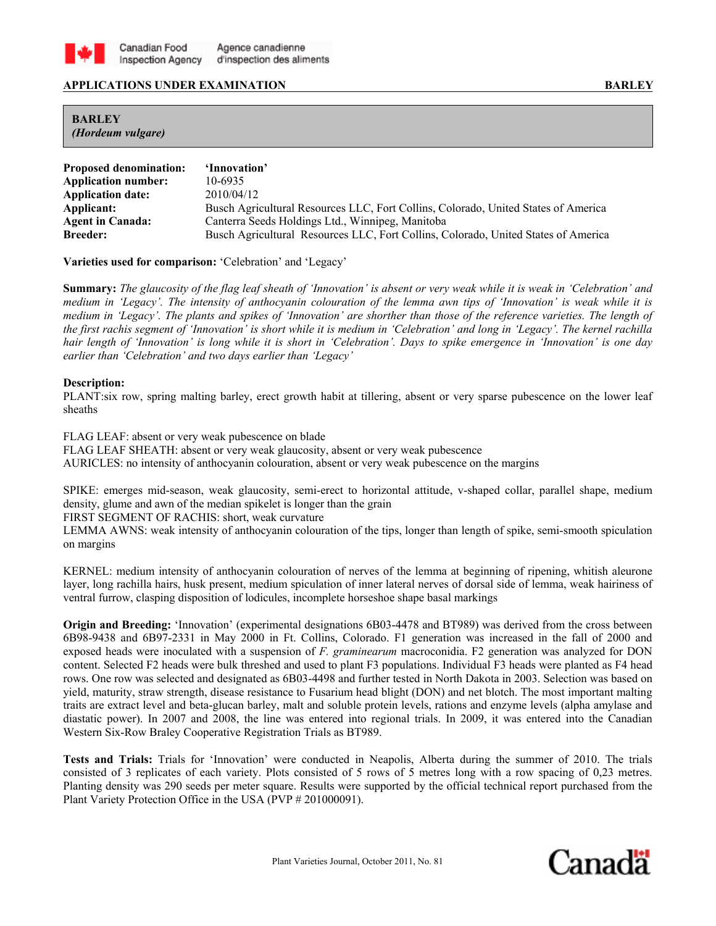

## **APPLICATIONS UNDER EXAMINATION BARLEY**

## **BARLEY**  *(Hordeum vulgare)*

| <b>Proposed denomination:</b> | 'Innovation'                                                                       |
|-------------------------------|------------------------------------------------------------------------------------|
| <b>Application number:</b>    | 10-6935                                                                            |
| <b>Application date:</b>      | 2010/04/12                                                                         |
| Applicant:                    | Busch Agricultural Resources LLC, Fort Collins, Colorado, United States of America |
| <b>Agent in Canada:</b>       | Canterra Seeds Holdings Ltd., Winnipeg, Manitoba                                   |
| <b>Breeder:</b>               | Busch Agricultural Resources LLC, Fort Collins, Colorado, United States of America |

**Varieties used for comparison:** 'Celebration' and 'Legacy'

**Summary:** *The glaucosity of the flag leaf sheath of 'Innovation' is absent or very weak while it is weak in 'Celebration' and medium in 'Legacy'. The intensity of anthocyanin colouration of the lemma awn tips of 'Innovation' is weak while it is medium in 'Legacy'. The plants and spikes of 'Innovation' are shorther than those of the reference varieties. The length of the first rachis segment of 'Innovation' is short while it is medium in 'Celebration' and long in 'Legacy'. The kernel rachilla hair length of 'Innovation' is long while it is short in 'Celebration'. Days to spike emergence in 'Innovation' is one day earlier than 'Celebration' and two days earlier than 'Legacy'*

## **Description:**

PLANT:six row, spring malting barley, erect growth habit at tillering, absent or very sparse pubescence on the lower leaf sheaths

FLAG LEAF: absent or very weak pubescence on blade

FLAG LEAF SHEATH: absent or very weak glaucosity, absent or very weak pubescence

AURICLES: no intensity of anthocyanin colouration, absent or very weak pubescence on the margins

SPIKE: emerges mid-season, weak glaucosity, semi-erect to horizontal attitude, v-shaped collar, parallel shape, medium density, glume and awn of the median spikelet is longer than the grain

FIRST SEGMENT OF RACHIS: short, weak curvature

LEMMA AWNS: weak intensity of anthocyanin colouration of the tips, longer than length of spike, semi-smooth spiculation on margins

KERNEL: medium intensity of anthocyanin colouration of nerves of the lemma at beginning of ripening, whitish aleurone layer, long rachilla hairs, husk present, medium spiculation of inner lateral nerves of dorsal side of lemma, weak hairiness of ventral furrow, clasping disposition of lodicules, incomplete horseshoe shape basal markings

**Origin and Breeding:** 'Innovation' (experimental designations 6B03-4478 and BT989) was derived from the cross between 6B98-9438 and 6B97-2331 in May 2000 in Ft. Collins, Colorado. F1 generation was increased in the fall of 2000 and exposed heads were inoculated with a suspension of *F. graminearum* macroconidia. F2 generation was analyzed for DON content. Selected F2 heads were bulk threshed and used to plant F3 populations. Individual F3 heads were planted as F4 head rows. One row was selected and designated as 6B03-4498 and further tested in North Dakota in 2003. Selection was based on yield, maturity, straw strength, disease resistance to Fusarium head blight (DON) and net blotch. The most important malting traits are extract level and beta-glucan barley, malt and soluble protein levels, rations and enzyme levels (alpha amylase and diastatic power). In 2007 and 2008, the line was entered into regional trials. In 2009, it was entered into the Canadian Western Six-Row Braley Cooperative Registration Trials as BT989.

**Tests and Trials:** Trials for 'Innovation' were conducted in Neapolis, Alberta during the summer of 2010. The trials consisted of 3 replicates of each variety. Plots consisted of 5 rows of 5 metres long with a row spacing of 0,23 metres. Planting density was 290 seeds per meter square. Results were supported by the official technical report purchased from the Plant Variety Protection Office in the USA (PVP # 201000091).